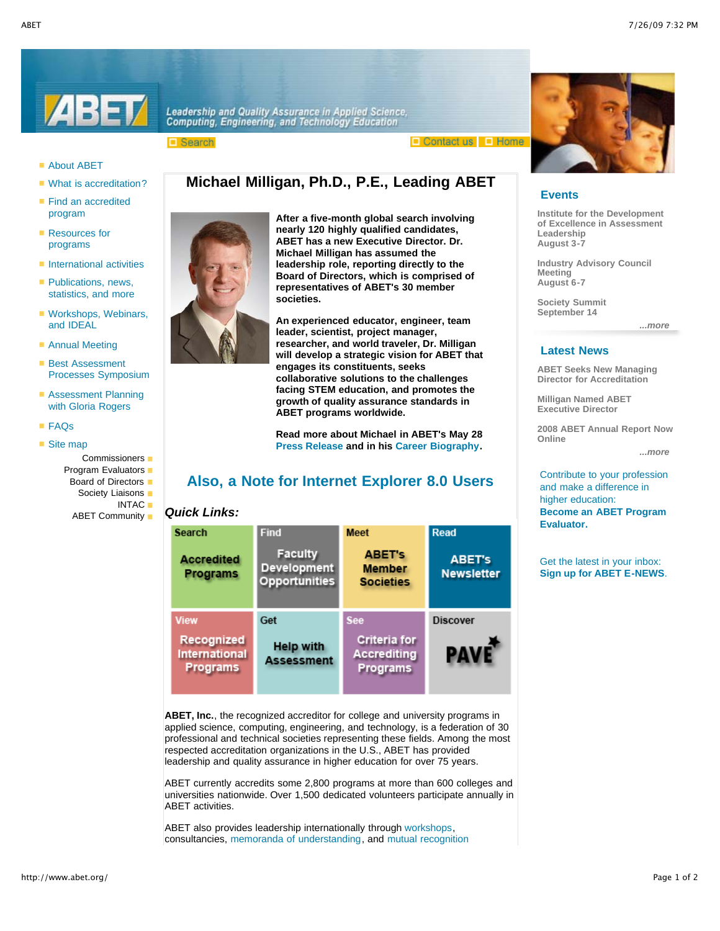



**Leadership and Quality Assurance in Applied Science,<br>Computing, Engineering, and Technology Education** 

□ Search

 $\Box$  Contact us  $\Box$  Home



### ■ About ABET

- What is accreditation?
- Find an accredited program
- Resources for programs
- $\blacksquare$  International activities
- $\blacksquare$  Publications, news, statistics, and more
- Workshops, Webinars, and IDEAL
- Annual Meeting
- Best Assessment Processes Symposium
- **Assessment Planning** with Gloria Rogers
- FAQs
- $\blacksquare$  Site map
	- Commissioners
		- Program Evaluators  $\blacksquare$
		- Board of Directors ■
		- Society Liaisons
		- **INTAC** ABET Community ■

**Michael Milligan has assumed the leadership role, reporting directly to the Board of Directors, which is comprised of representatives of ABET's 30 member societies. An experienced educator, engineer, team leader, scientist, project manager,**

**After a five-month global search involving nearly 120 highly qualified candidates, ABET has a new Executive Director. Dr.**

**Michael Milligan, Ph.D., P.E., Leading ABET**

**researcher, and world traveler, Dr. Milligan will develop a strategic vision for ABET that engages its constituents, seeks collaborative solutions to the challenges facing STEM education, and promotes the growth of quality assurance standards in ABET programs worldwide.**

**Read more about Michael in ABET's May 28 Press Release and in his Career Biography.**

# **Also, a Note for Internet Explorer 8.0 Users**

## *Quick Links:*

| <b>Search</b>                 | <b>Find</b>                                                  | <b>Meet</b>                                        | <b>Read</b>                        |
|-------------------------------|--------------------------------------------------------------|----------------------------------------------------|------------------------------------|
| <b>Accredited</b><br>Programs | <b>Faculty</b><br><b>Development</b><br><b>Opportunities</b> | <b>ABET's</b><br><b>Member</b><br><b>Societies</b> | <b>ABET's</b><br><b>Newsletter</b> |
| <b>View</b>                   | Get                                                          | <b>See</b>                                         | <b>Discover</b>                    |
| Recognized<br>International   | <b>Help with</b>                                             | <b>Criteria for</b><br><b>Accrediting</b>          |                                    |

**ABET, Inc.**, the recognized accreditor for college and university programs in applied science, computing, engineering, and technology, is a federation of 30 professional and technical societies representing these fields. Among the most respected accreditation organizations in the U.S., ABET has provided leadership and quality assurance in higher education for over 75 years.

ABET currently accredits some 2,800 programs at more than 600 colleges and universities nationwide. Over 1,500 dedicated volunteers participate annually in ABET activities.

ABET also provides leadership internationally through workshops, consultancies, memoranda of understanding, and mutual recognition

## **Events**

**Institute for the Development of Excellence in Assessment Leadership August 3-7**

**Industry Advisory Council Meeting August 6-7**

**Society Summit September 14**

*...more* 

#### **Latest News**

**ABET Seeks New Managing Director for Accreditation**

**Milligan Named ABET Executive Director**

**2008 ABET Annual Report Now Online**

*...more* 

Contribute to your profession and make a difference in higher education: **Become an ABET Program Evaluator.**

Get the latest in your inbox: **Sign up for ABET E-NEWS**.